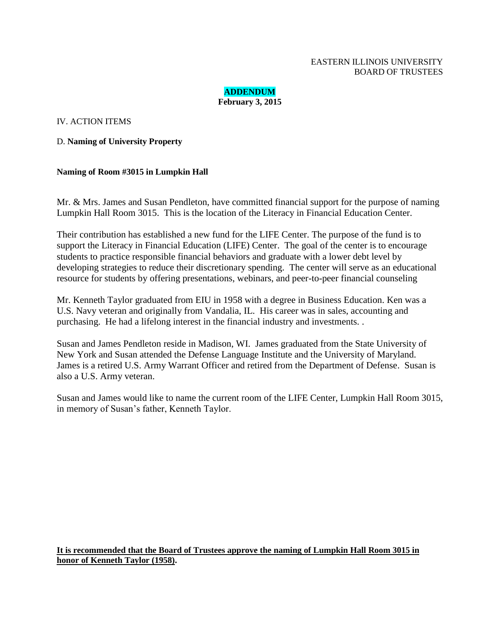#### EASTERN ILLINOIS UNIVERSITY BOARD OF TRUSTEES

**ADDENDUM February 3, 2015**

IV. ACTION ITEMS

D. **Naming of University Property**

#### **Naming of Room #3015 in Lumpkin Hall**

Mr. & Mrs. James and Susan Pendleton, have committed financial support for the purpose of naming Lumpkin Hall Room 3015. This is the location of the Literacy in Financial Education Center.

Their contribution has established a new fund for the LIFE Center. The purpose of the fund is to support the Literacy in Financial Education (LIFE) Center. The goal of the center is to encourage students to practice responsible financial behaviors and graduate with a lower debt level by developing strategies to reduce their discretionary spending. The center will serve as an educational resource for students by offering presentations, webinars, and peer-to-peer financial counseling

Mr. Kenneth Taylor graduated from EIU in 1958 with a degree in Business Education. Ken was a U.S. Navy veteran and originally from Vandalia, IL. His career was in sales, accounting and purchasing. He had a lifelong interest in the financial industry and investments. .

Susan and James Pendleton reside in Madison, WI. James graduated from the State University of New York and Susan attended the Defense Language Institute and the University of Maryland. James is a retired U.S. Army Warrant Officer and retired from the Department of Defense. Susan is also a U.S. Army veteran.

Susan and James would like to name the current room of the LIFE Center, Lumpkin Hall Room 3015, in memory of Susan's father, Kenneth Taylor.

**It is recommended that the Board of Trustees approve the naming of Lumpkin Hall Room 3015 in honor of Kenneth Taylor (1958).**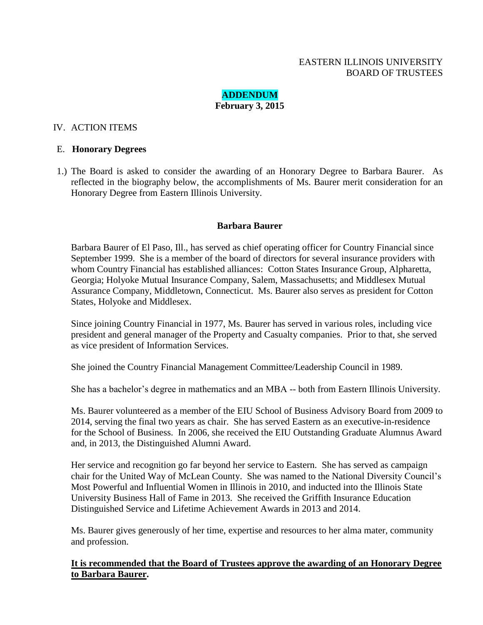# **ADDENDUM February 3, 2015**

# IV. ACTION ITEMS

### E. **Honorary Degrees**

1.) The Board is asked to consider the awarding of an Honorary Degree to Barbara Baurer. As reflected in the biography below, the accomplishments of Ms. Baurer merit consideration for an Honorary Degree from Eastern Illinois University.

### **Barbara Baurer**

Barbara Baurer of El Paso, Ill., has served as chief operating officer for Country Financial since September 1999. She is a member of the board of directors for several insurance providers with whom Country Financial has established alliances: Cotton States Insurance Group, Alpharetta, Georgia; Holyoke Mutual Insurance Company, Salem, Massachusetts; and Middlesex Mutual Assurance Company, Middletown, Connecticut. Ms. Baurer also serves as president for Cotton States, Holyoke and Middlesex.

Since joining Country Financial in 1977, Ms. Baurer has served in various roles, including vice president and general manager of the Property and Casualty companies. Prior to that, she served as vice president of Information Services.

She joined the Country Financial Management Committee/Leadership Council in 1989.

She has a bachelor's degree in mathematics and an MBA -- both from Eastern Illinois University.

Ms. Baurer volunteered as a member of the EIU School of Business Advisory Board from 2009 to 2014, serving the final two years as chair. She has served Eastern as an executive-in-residence for the School of Business. In 2006, she received the EIU Outstanding Graduate Alumnus Award and, in 2013, the Distinguished Alumni Award.

Her service and recognition go far beyond her service to Eastern. She has served as campaign chair for the United Way of McLean County. She was named to the National Diversity Council's Most Powerful and Influential Women in Illinois in 2010, and inducted into the Illinois State University Business Hall of Fame in 2013. She received the Griffith Insurance Education Distinguished Service and Lifetime Achievement Awards in 2013 and 2014.

Ms. Baurer gives generously of her time, expertise and resources to her alma mater, community and profession.

**It is recommended that the Board of Trustees approve the awarding of an Honorary Degree to Barbara Baurer.**